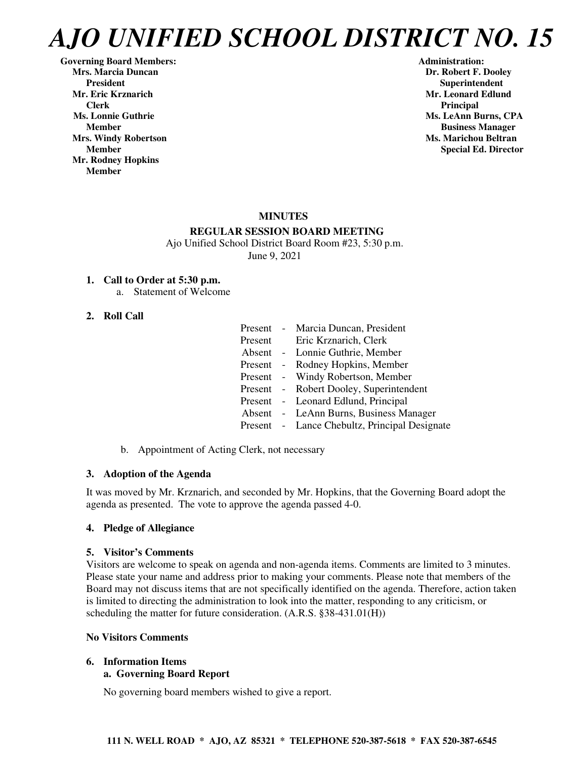Governing Board Members: **Administration: Administration: Administration: Mrs. Marcia Duncan Dr. Robert F. Dooley** President **Resident Superintendent** Superintendent<br>Mr. Eric Krznarich Superintendent Mr. Leonard Edlun  **Clerk** Principal **Principal** *Principal* **Ms. Lonnie Guthrie Ms. LeAnn Burns, CPA Ms. LeAnn Burns, CPA Mrs. Windy Robertson Ms. Marichou Beltran**  Ms. Marichou Beltran **Ms. Marichou Beltran Mr. Rodney Hopkins Member** 

**Mr. Leonard Edlund Member Business Manager Member** Special Ed. Director **Special Ed. Director** 

#### **MINUTES**

#### **REGULAR SESSION BOARD MEETING**

 Ajo Unified School District Board Room #23, 5:30 p.m. June 9, 2021

#### **1. Call to Order at 5:30 p.m.**

a. Statement of Welcome

#### **2. Roll Call**

|         | Present - Marcia Duncan, President            |
|---------|-----------------------------------------------|
| Present | Eric Krznarich, Clerk                         |
|         | Absent - Lonnie Guthrie, Member               |
|         | Present - Rodney Hopkins, Member              |
|         | Present - Windy Robertson, Member             |
|         | Present - Robert Dooley, Superintendent       |
|         | Present - Leonard Edlund, Principal           |
|         | Absent - LeAnn Burns, Business Manager        |
|         | Present - Lance Chebultz, Principal Designate |
|         |                                               |

b. Appointment of Acting Clerk, not necessary

## **3. Adoption of the Agenda**

It was moved by Mr. Krznarich, and seconded by Mr. Hopkins, that the Governing Board adopt the agenda as presented. The vote to approve the agenda passed 4-0.

#### **4. Pledge of Allegiance**

#### **5. Visitor's Comments**

Visitors are welcome to speak on agenda and non-agenda items. Comments are limited to 3 minutes. Please state your name and address prior to making your comments. Please note that members of the Board may not discuss items that are not specifically identified on the agenda. Therefore, action taken is limited to directing the administration to look into the matter, responding to any criticism, or scheduling the matter for future consideration. (A.R.S. §38-431.01(H))

#### **No Visitors Comments**

#### **6. Information Items a. Governing Board Report**

No governing board members wished to give a report.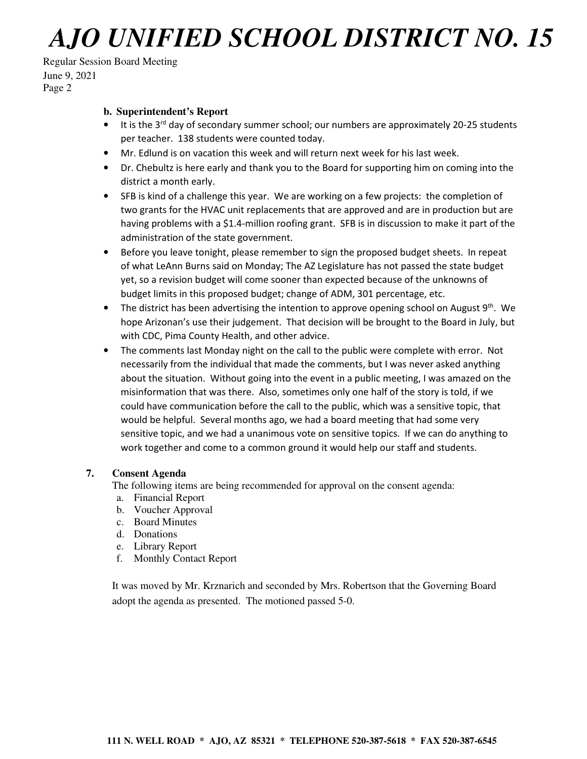## Regular Session Board Meeting June 9, 2021 Page 2

#### **b. Superintendent's Report**

- It is the 3<sup>rd</sup> day of secondary summer school; our numbers are approximately 20-25 students per teacher. 138 students were counted today.
- Mr. Edlund is on vacation this week and will return next week for his last week.
- Dr. Chebultz is here early and thank you to the Board for supporting him on coming into the district a month early.
- SFB is kind of a challenge this year. We are working on a few projects: the completion of two grants for the HVAC unit replacements that are approved and are in production but are having problems with a \$1.4-million roofing grant. SFB is in discussion to make it part of the administration of the state government.
- Before you leave tonight, please remember to sign the proposed budget sheets. In repeat of what LeAnn Burns said on Monday; The AZ Legislature has not passed the state budget yet, so a revision budget will come sooner than expected because of the unknowns of budget limits in this proposed budget; change of ADM, 301 percentage, etc.
- The district has been advertising the intention to approve opening school on August  $9<sup>th</sup>$ . We hope Arizonan's use their judgement. That decision will be brought to the Board in July, but with CDC, Pima County Health, and other advice.
- The comments last Monday night on the call to the public were complete with error. Not necessarily from the individual that made the comments, but I was never asked anything about the situation. Without going into the event in a public meeting, I was amazed on the misinformation that was there. Also, sometimes only one half of the story is told, if we could have communication before the call to the public, which was a sensitive topic, that would be helpful. Several months ago, we had a board meeting that had some very sensitive topic, and we had a unanimous vote on sensitive topics. If we can do anything to work together and come to a common ground it would help our staff and students.

#### **7. Consent Agenda**

The following items are being recommended for approval on the consent agenda:

- a. Financial Report
- b. Voucher Approval
- c. Board Minutes
- d. Donations
- e. Library Report
- f. Monthly Contact Report

It was moved by Mr. Krznarich and seconded by Mrs. Robertson that the Governing Board adopt the agenda as presented. The motioned passed 5-0.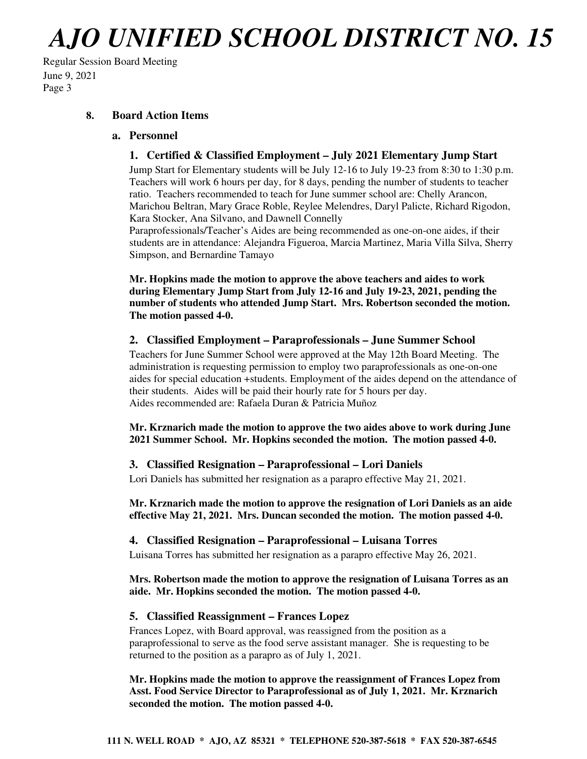Regular Session Board Meeting June 9, 2021 Page 3

## **8. Board Action Items**

#### **a. Personnel**

## **1. Certified & Classified Employment – July 2021 Elementary Jump Start**

Jump Start for Elementary students will be July 12-16 to July 19-23 from 8:30 to 1:30 p.m. Teachers will work 6 hours per day, for 8 days, pending the number of students to teacher ratio. Teachers recommended to teach for June summer school are: Chelly Arancon, Marichou Beltran, Mary Grace Roble, Reylee Melendres, Daryl Palicte, Richard Rigodon, Kara Stocker, Ana Silvano, and Dawnell Connelly

Paraprofessionals/Teacher's Aides are being recommended as one-on-one aides, if their students are in attendance: Alejandra Figueroa, Marcia Martinez, Maria Villa Silva, Sherry Simpson, and Bernardine Tamayo

**Mr. Hopkins made the motion to approve the above teachers and aides to work during Elementary Jump Start from July 12-16 and July 19-23, 2021, pending the number of students who attended Jump Start. Mrs. Robertson seconded the motion. The motion passed 4-0.** 

#### **2. Classified Employment – Paraprofessionals – June Summer School**

Teachers for June Summer School were approved at the May 12th Board Meeting. The administration is requesting permission to employ two paraprofessionals as one-on-one aides for special education +students. Employment of the aides depend on the attendance of their students. Aides will be paid their hourly rate for 5 hours per day. Aides recommended are: Rafaela Duran & Patricia Muñoz

**Mr. Krznarich made the motion to approve the two aides above to work during June 2021 Summer School. Mr. Hopkins seconded the motion. The motion passed 4-0.** 

#### **3. Classified Resignation – Paraprofessional – Lori Daniels**

Lori Daniels has submitted her resignation as a parapro effective May 21, 2021.

**Mr. Krznarich made the motion to approve the resignation of Lori Daniels as an aide effective May 21, 2021. Mrs. Duncan seconded the motion. The motion passed 4-0.** 

#### **4. Classified Resignation – Paraprofessional – Luisana Torres**

Luisana Torres has submitted her resignation as a parapro effective May 26, 2021.

#### **Mrs. Robertson made the motion to approve the resignation of Luisana Torres as an aide. Mr. Hopkins seconded the motion. The motion passed 4-0.**

#### **5. Classified Reassignment – Frances Lopez**

Frances Lopez, with Board approval, was reassigned from the position as a paraprofessional to serve as the food serve assistant manager. She is requesting to be returned to the position as a parapro as of July 1, 2021.

**Mr. Hopkins made the motion to approve the reassignment of Frances Lopez from Asst. Food Service Director to Paraprofessional as of July 1, 2021. Mr. Krznarich seconded the motion. The motion passed 4-0.**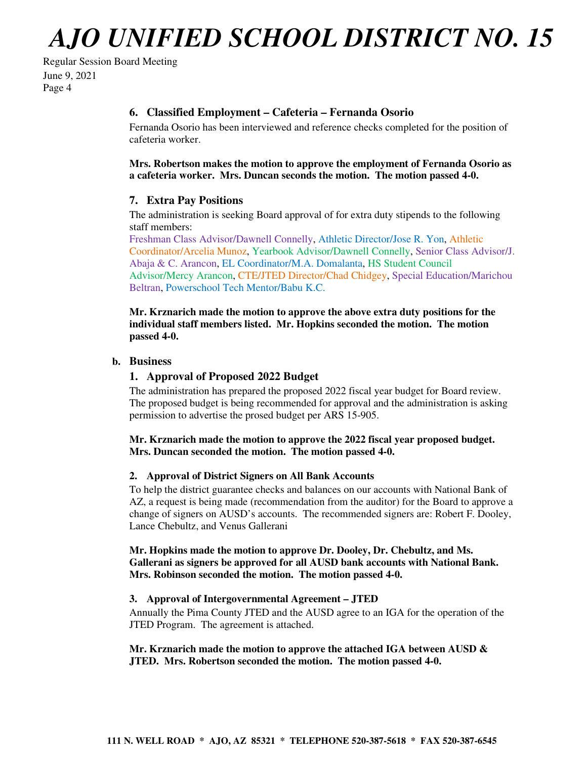## Regular Session Board Meeting June 9, 2021 Page 4

## **6. Classified Employment – Cafeteria – Fernanda Osorio**

Fernanda Osorio has been interviewed and reference checks completed for the position of cafeteria worker.

**Mrs. Robertson makes the motion to approve the employment of Fernanda Osorio as a cafeteria worker. Mrs. Duncan seconds the motion. The motion passed 4-0.** 

## **7. Extra Pay Positions**

The administration is seeking Board approval of for extra duty stipends to the following staff members:

Freshman Class Advisor/Dawnell Connelly, Athletic Director/Jose R. Yon, Athletic Coordinator/Arcelia Munoz, Yearbook Advisor/Dawnell Connelly, Senior Class Advisor/J. Abaja & C. Arancon, EL Coordinator/M.A. Domalanta, HS Student Council Advisor/Mercy Arancon, CTE/JTED Director/Chad Chidgey, Special Education/Marichou Beltran, Powerschool Tech Mentor/Babu K.C.

**Mr. Krznarich made the motion to approve the above extra duty positions for the individual staff members listed. Mr. Hopkins seconded the motion. The motion passed 4-0.** 

#### **b. Business**

## **1. Approval of Proposed 2022 Budget**

The administration has prepared the proposed 2022 fiscal year budget for Board review. The proposed budget is being recommended for approval and the administration is asking permission to advertise the prosed budget per ARS 15-905.

**Mr. Krznarich made the motion to approve the 2022 fiscal year proposed budget. Mrs. Duncan seconded the motion. The motion passed 4-0.** 

## **2. Approval of District Signers on All Bank Accounts**

To help the district guarantee checks and balances on our accounts with National Bank of AZ, a request is being made (recommendation from the auditor) for the Board to approve a change of signers on AUSD's accounts. The recommended signers are: Robert F. Dooley, Lance Chebultz, and Venus Gallerani

**Mr. Hopkins made the motion to approve Dr. Dooley, Dr. Chebultz, and Ms. Gallerani as signers be approved for all AUSD bank accounts with National Bank. Mrs. Robinson seconded the motion. The motion passed 4-0.** 

#### **3. Approval of Intergovernmental Agreement – JTED**

Annually the Pima County JTED and the AUSD agree to an IGA for the operation of the JTED Program. The agreement is attached.

**Mr. Krznarich made the motion to approve the attached IGA between AUSD & JTED. Mrs. Robertson seconded the motion. The motion passed 4-0.**